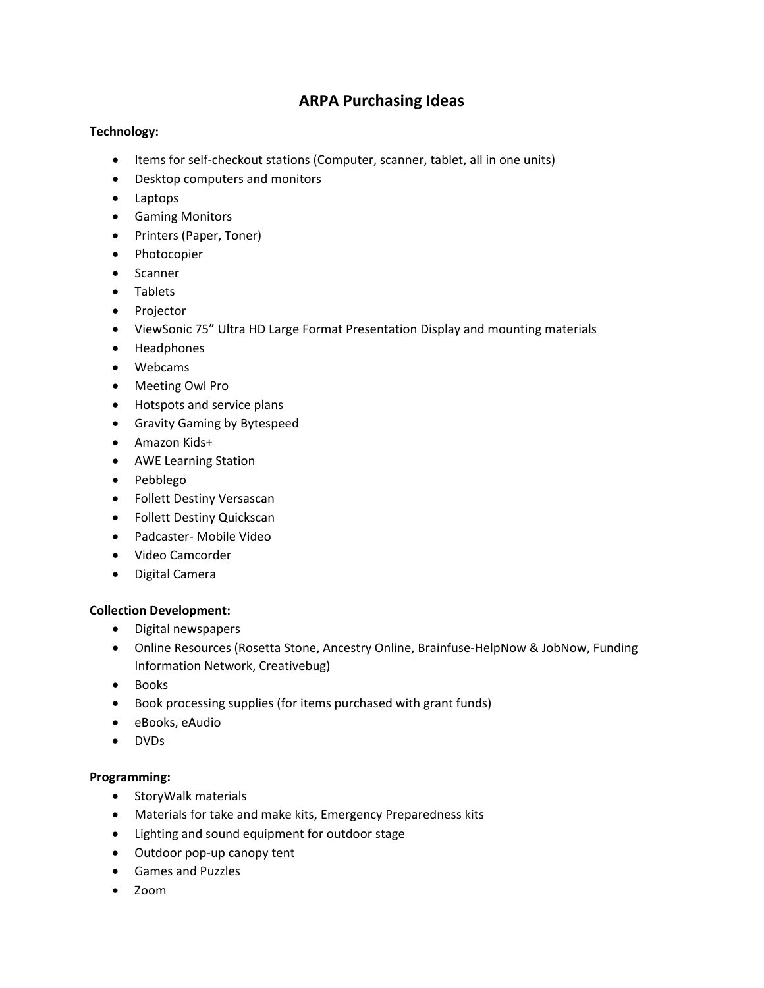# **ARPA Purchasing Ideas**

## **Technology:**

- Items for self-checkout stations (Computer, scanner, tablet, all in one units)
- Desktop computers and monitors
- Laptops
- Gaming Monitors
- Printers (Paper, Toner)
- Photocopier
- Scanner
- Tablets
- Projector
- ViewSonic 75" Ultra HD Large Format Presentation Display and mounting materials
- Headphones
- Webcams
- Meeting Owl Pro
- Hotspots and service plans
- Gravity Gaming by Bytespeed
- Amazon Kids+
- AWE Learning Station
- Pebblego
- Follett Destiny Versascan
- Follett Destiny Quickscan
- Padcaster- Mobile Video
- Video Camcorder
- Digital Camera

#### **Collection Development:**

- Digital newspapers
- Online Resources (Rosetta Stone, Ancestry Online, Brainfuse-HelpNow & JobNow, Funding Information Network, Creativebug)
- Books
- Book processing supplies (for items purchased with grant funds)
- eBooks, eAudio
- DVDs

#### **Programming:**

- StoryWalk materials
- Materials for take and make kits, Emergency Preparedness kits
- Lighting and sound equipment for outdoor stage
- Outdoor pop-up canopy tent
- Games and Puzzles
- Zoom